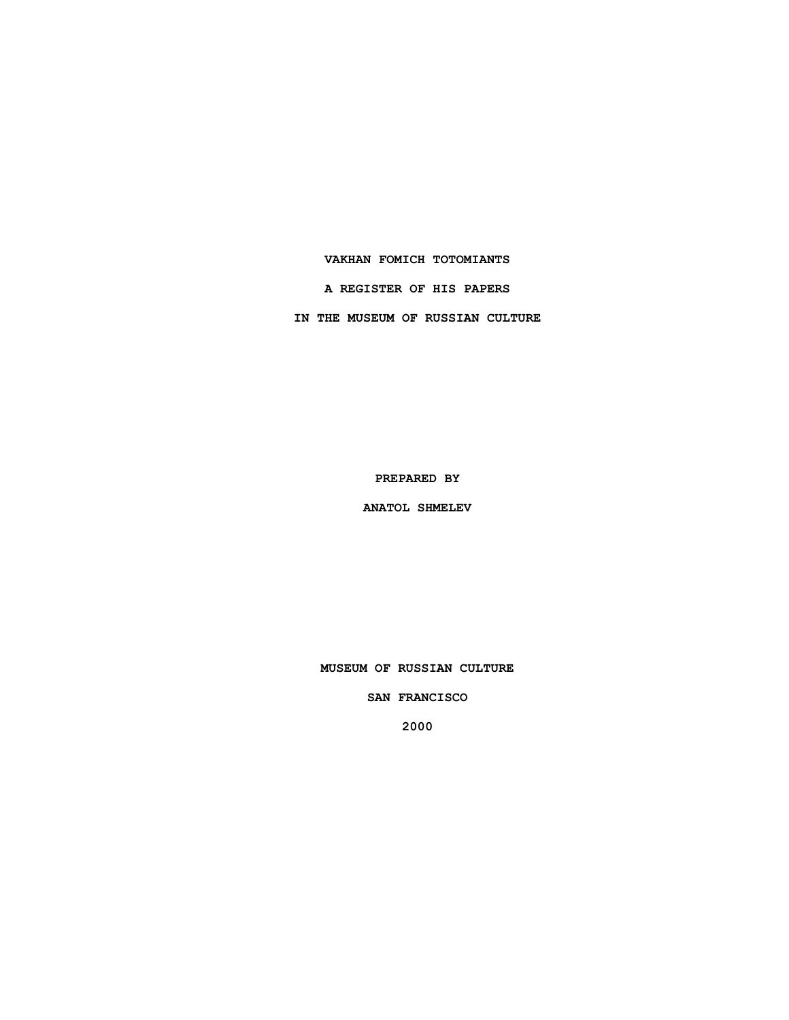### **VAKHAN FOMICH TOTOMIANTS**

**A REGISTER OF HIS PAPERS**

**IN THE MUSEUM OF RUSSIAN CULTURE**

**PREPARED BY**

**ANATOL SHMELEV**

**MUSEUM OF RUSSIAN CULTURE**

**SAN FRANCISCO**

**2000**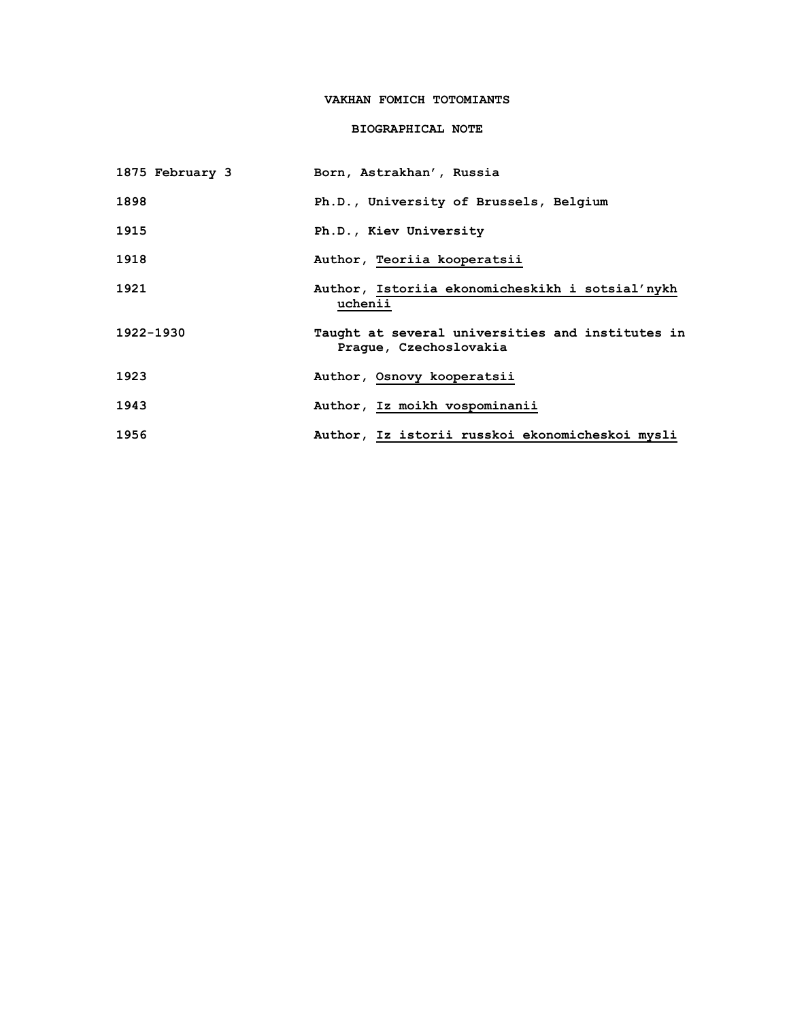# **VAKHAN FOMICH TOTOMIANTS**

## **BIOGRAPHICAL NOTE**

| 1875 February 3 | Born, Astrakhan', Russia                                                   |
|-----------------|----------------------------------------------------------------------------|
| 1898            | Ph.D., University of Brussels, Belgium                                     |
| 1915            | Ph.D., Kiev University                                                     |
| 1918            | Author, Teoriia kooperatsii                                                |
| 1921            | Author, Istoriia ekonomicheskikh i sotsial'nykh<br>uchenii                 |
| 1922-1930       | Taught at several universities and institutes in<br>Praque, Czechoslovakia |
| 1923            | Author, Osnovy kooperatsii                                                 |
| 1943            | Author, Iz moikh vospominanii                                              |
| 1956            | Author, Iz istorii russkoi ekonomicheskoi mysli                            |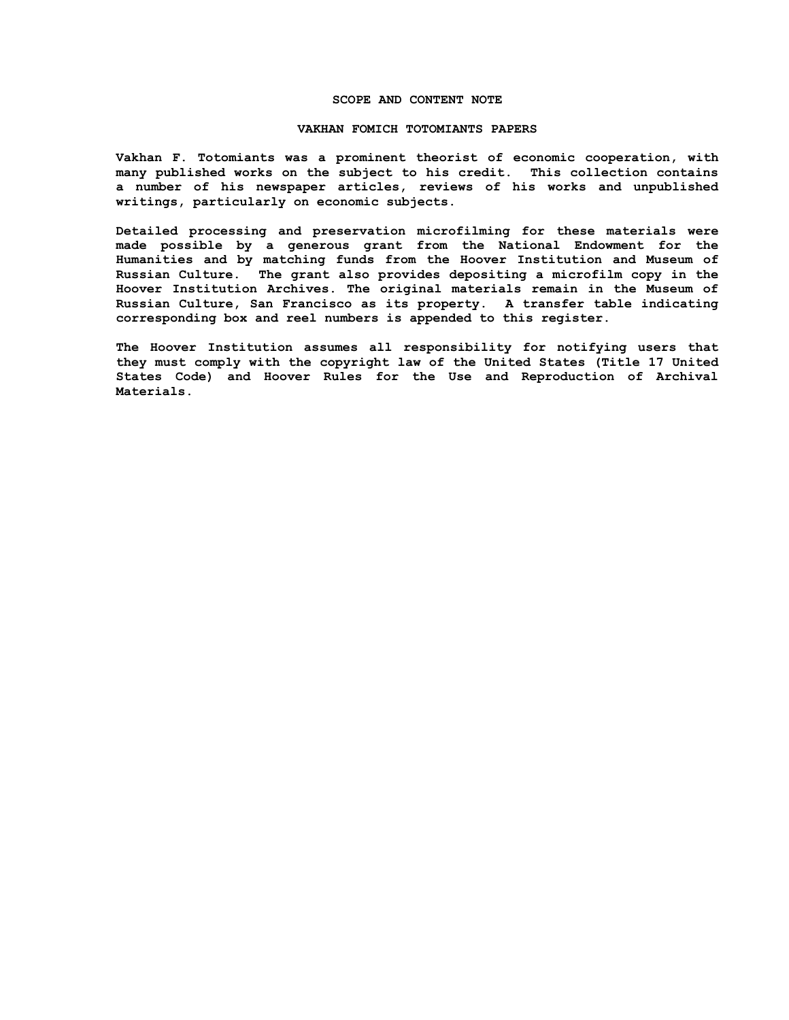### **SCOPE AND CONTENT NOTE**

#### **VAKHAN FOMICH TOTOMIANTS PAPERS**

**Vakhan F. Totomiants was a prominent theorist of economic cooperation, with many published works on the subject to his credit. This collection contains a number of his newspaper articles, reviews of his works and unpublished writings, particularly on economic subjects.**

**Detailed processing and preservation microfilming for these materials were made possible by a generous grant from the National Endowment for the Humanities and by matching funds from the Hoover Institution and Museum of Russian Culture. The grant also provides depositing a microfilm copy in the Hoover Institution Archives. The original materials remain in the Museum of Russian Culture, San Francisco as its property. A transfer table indicating corresponding box and reel numbers is appended to this register.**

**The Hoover Institution assumes all responsibility for notifying users that they must comply with the copyright law of the United States (Title 17 United States Code) and Hoover Rules for the Use and Reproduction of Archival Materials.**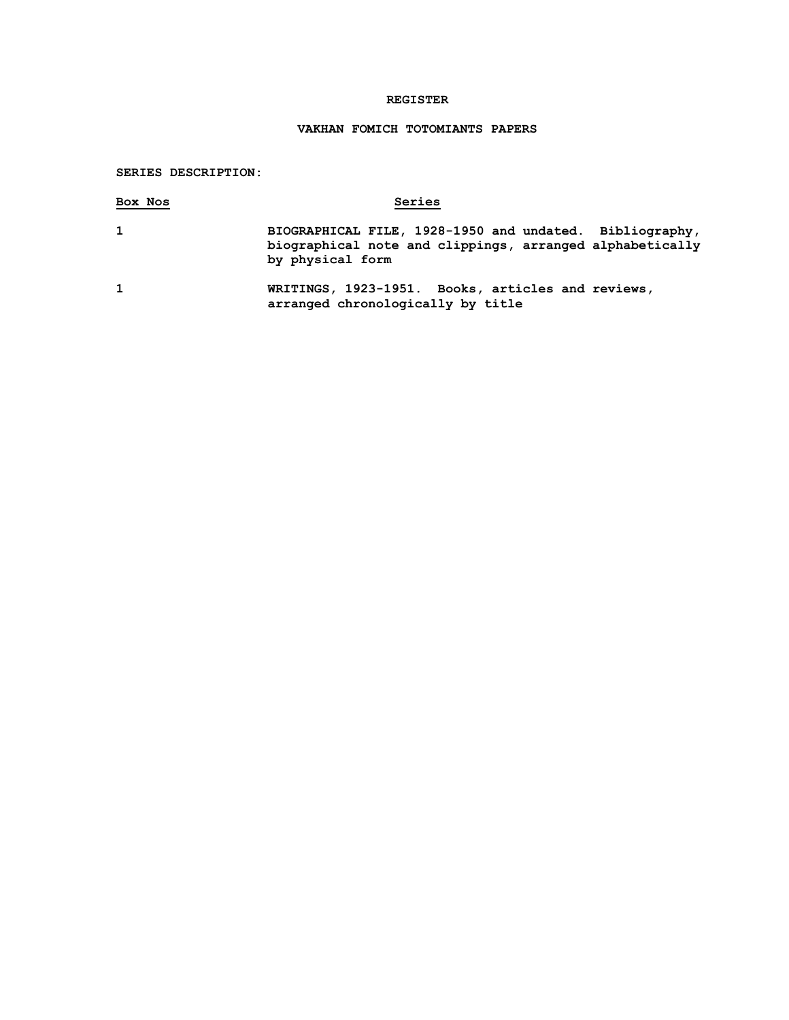## **REGISTER**

# **VAKHAN FOMICH TOTOMIANTS PAPERS**

## **SERIES DESCRIPTION:**

| Box Nos      | Series                                                                                                                                  |
|--------------|-----------------------------------------------------------------------------------------------------------------------------------------|
| $\mathbf{1}$ | BIOGRAPHICAL FILE, 1928-1950 and undated. Bibliography,<br>biographical note and clippings, arranged alphabetically<br>by physical form |
| $\mathbf{1}$ | WRITINGS, 1923-1951. Books, articles and reviews,<br>arranged chronologically by title                                                  |